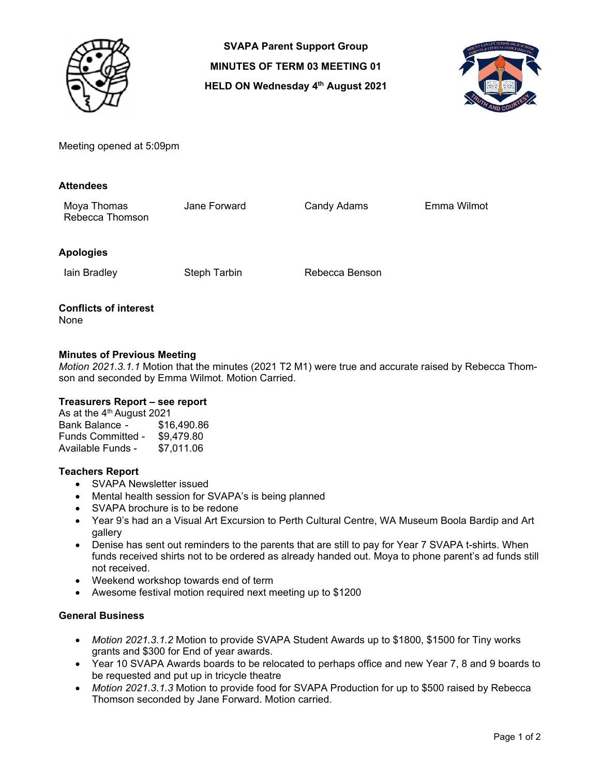

**SVAPA Parent Support Group MINUTES OF TERM 03 MEETING 01 HELD ON Wednesday 4<sup>th</sup> August 2021** 



Meeting opened at 5:09pm

#### **Attendees**

Moya Thomas Jane Forward Candy Adams Emma Wilmot Rebecca Thomson

## **Apologies**

Iain Bradley **Steph Tarbin** Rebecca Benson

#### **Conflicts of interest**  None

# **Minutes of Previous Meeting**

*Motion 2021.3.1.1* Motion that the minutes (2021 T2 M1) were true and accurate raised by Rebecca Thomson and seconded by Emma Wilmot. Motion Carried.

## **Treasurers Report – see report**

As at the 4<sup>th</sup> August 2021 Bank Balance - \$16,490.86 Funds Committed - \$9,479.80 Available Funds - \$7,011.06

## **Teachers Report**

- SVAPA Newsletter issued
- Mental health session for SVAPA's is being planned
- SVAPA brochure is to be redone
- Year 9's had an a Visual Art Excursion to Perth Cultural Centre, WA Museum Boola Bardip and Art gallery
- Denise has sent out reminders to the parents that are still to pay for Year 7 SVAPA t-shirts. When funds received shirts not to be ordered as already handed out. Moya to phone parent's ad funds still not received.
- Weekend workshop towards end of term
- Awesome festival motion required next meeting up to \$1200

#### **General Business**

- *Motion 2021.3.1.2* Motion to provide SVAPA Student Awards up to \$1800, \$1500 for Tiny works grants and \$300 for End of year awards.
- Year 10 SVAPA Awards boards to be relocated to perhaps office and new Year 7, 8 and 9 boards to be requested and put up in tricycle theatre
- *Motion 2021.3.1.3* Motion to provide food for SVAPA Production for up to \$500 raised by Rebecca Thomson seconded by Jane Forward. Motion carried.